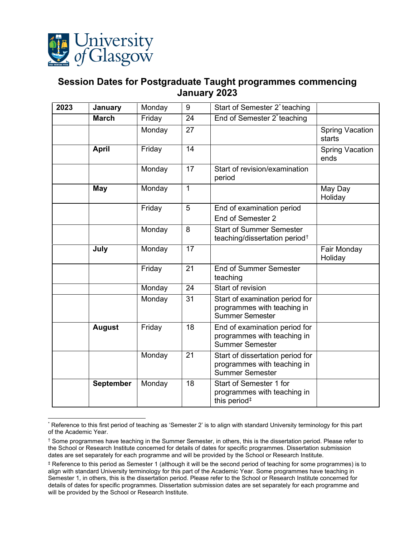

## <span id="page-0-0"></span>**Session Dates for Postgraduate Taught programmes commencing January 2023**

| 2023 | January          | Monday | 9               | Start of Semester 2 <sup>*</sup> teaching                                                 |                                  |
|------|------------------|--------|-----------------|-------------------------------------------------------------------------------------------|----------------------------------|
|      | <b>March</b>     | Friday | $\overline{24}$ | End of Semester 2 <sup>*</sup> teaching                                                   |                                  |
|      |                  | Monday | 27              |                                                                                           | <b>Spring Vacation</b><br>starts |
|      | <b>April</b>     | Friday | $\overline{14}$ |                                                                                           | <b>Spring Vacation</b><br>ends   |
|      |                  | Monday | 17              | Start of revision/examination<br>period                                                   |                                  |
|      | May              | Monday | 1               |                                                                                           | May Day<br>Holiday               |
|      |                  | Friday | 5               | End of examination period<br>End of Semester 2                                            |                                  |
|      |                  | Monday | 8               | <b>Start of Summer Semester</b><br>teaching/dissertation period <sup>†</sup>              |                                  |
|      | July             | Monday | 17              |                                                                                           | Fair Monday<br>Holiday           |
|      |                  | Friday | 21              | <b>End of Summer Semester</b><br>teaching                                                 |                                  |
|      |                  | Monday | $\overline{24}$ | Start of revision                                                                         |                                  |
|      |                  | Monday | 31              | Start of examination period for<br>programmes with teaching in<br><b>Summer Semester</b>  |                                  |
|      | <b>August</b>    | Friday | 18              | End of examination period for<br>programmes with teaching in<br><b>Summer Semester</b>    |                                  |
|      |                  | Monday | 21              | Start of dissertation period for<br>programmes with teaching in<br><b>Summer Semester</b> |                                  |
|      | <b>September</b> | Monday | 18              | Start of Semester 1 for<br>programmes with teaching in<br>this period <sup>#</sup>        |                                  |

<span id="page-0-1"></span><sup>\*</sup> Reference to this first period of teaching as 'Semester 2' is to align with standard University terminology for this part of the Academic Year.

<span id="page-0-2"></span><sup>†</sup> Some programmes have teaching in the Summer Semester, in others, this is the dissertation period. Please refer to the School or Research Institute concerned for details of dates for specific programmes. Dissertation submission dates are set separately for each programme and will be provided by the School or Research Institute.

<span id="page-0-3"></span><sup>‡</sup> Reference to this period as Semester 1 (although it will be the second period of teaching for some programmes) is to align with standard University terminology for this part of the Academic Year. Some programmes have teaching in Semester 1, in others, this is the dissertation period. Please refer to the School or Research Institute concerned for details of dates for specific programmes. Dissertation submission dates are set separately for each programme and will be provided by the School or Research Institute.